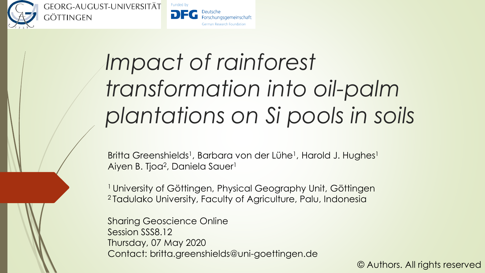

GEORG-AUGUST-UNIVERSITÄT göttingen



# *Impact of rainforest transformation into oil-palm plantations on Si pools in soils*

Britta Greenshields<sup>1</sup>, Barbara von der Lühe<sup>1</sup>, Harold J. Hughes<sup>1</sup> Aiyen B. Tjoa<sup>2</sup>, Daniela Sauer<sup>1</sup>

<sup>1</sup> University of Göttingen, Physical Geography Unit, Göttingen <sup>2</sup>Tadulako University, Faculty of Agriculture, Palu, Indonesia

Sharing Geoscience Online Session SSS8.12 Thursday, 07 May 2020 Contact: britta.greenshields@uni-goettingen.de

© Authors. All rights reserved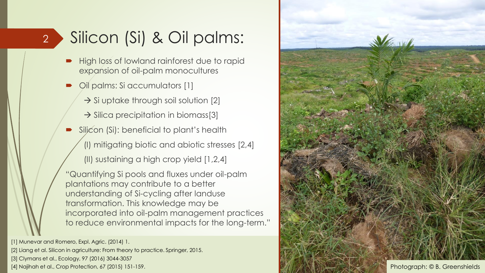#### Silicon (Si) & Oil palms: 2

- High loss of lowland rainforest due to rapid expansion of oil-palm monocultures
- Oil palms: Si accumulators [1]
	- $\rightarrow$  Si uptake through soil solution [2]
	- $\rightarrow$  Silica precipitation in biomass[3]
- Silicon (Si): beneficial to plant's health
	- (I) mitigating biotic and abiotic stresses [2,4]
	- (II) sustaining a high crop yield [1,2,4]

"Quantifying Si pools and fluxes under oil-palm plantations may contribute to a better understanding of Si-cycling after landuse transformation. This knowledge may be incorporated into oil-palm management practices to reduce environmental impacts for the long-term."

[1] Munevar and Romero, Expl. Agric. (2014) 1. [2] Liang et al. Silicon in agriculture: From theory to practice. Springer, 2015. [3] Clymans et al., Ecology, 97 (2016) 3044-3057

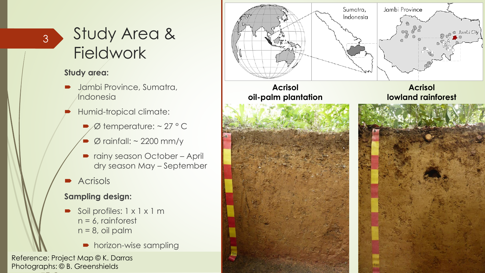### Study Area & **Fieldwork**

#### **Study area:**

3

- Jambi Province, Sumatra, **Indonesia**
- Humid-tropical climate:
	- $\blacktriangleright$  Ø temperature: ~ 27 ° C
	- $\bullet$  Ø rainfall: ~ 2200 mm/y
	- rainy season October April dry season May – September
- **Acrisols**

### **Sampling design:**

- Soil profiles: 1 x 1 x 1 m  $n = 6$ , rainforest  $n = 8$ , oil palm
	- horizon-wise sampling

Reference: Project Map © K. Darras Photographs: © B. Greenshields

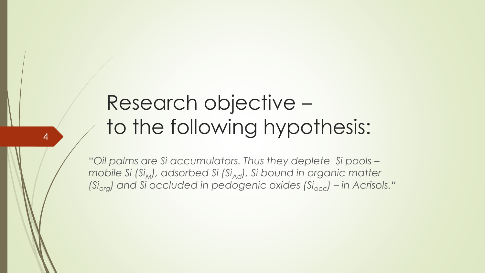## Research objective – to the following hypothesis:

4

"*Oil palms are Si accumulators. Thus they deplete Si pools – mobile Si (Si<sub>M</sub>), adsorbed Si (Si<sub>Ad</sub>), Si bound in organic matter (Siorg) and Si occluded in pedogenic oxides (Siocc) – in Acrisols."*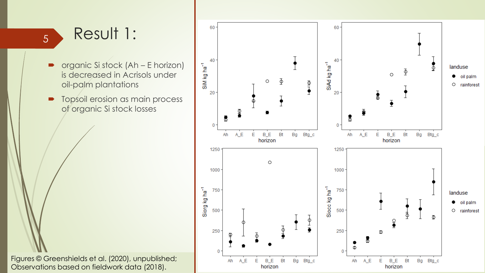### <sup>5</sup> Result 1:

- organic Si stock (Ah E horizon) is decreased in Acrisols under oil-palm plantations
- Topsoil erosion as main process of organic Si stock losses



Figures © Greenshields et al. (2020), unpublished; Observations based on fieldwork data (2018).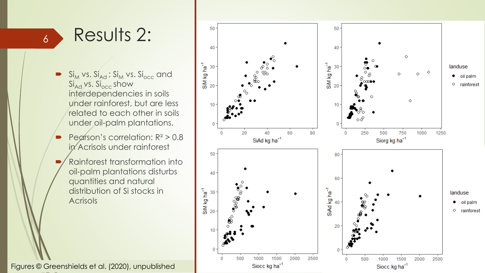## Results 2:

6

- $S_{\mathsf{I}_\mathsf{M}}$  vs.  $\mathrm{Si}_\mathsf{Ad}$  ;  $\mathrm{Si}_\mathsf{M}$  vs.  $\mathrm{Si}_\mathsf{occ}$  and  $Si<sub>Ad</sub>$  ys.  $Si<sub>occ</sub>$  show interdependencies in soils under rainforest, but are less related to each other in soils under oil-palm plantations.
- Pearson's correlation: R² > 0.8 in Acrisols under rainforest
- Rainforest transformation into oil-palm plantations disturbs quantities and natural distribution of Si stocks in **Acrisols**

Figures © Greenshields et al. (2020), unpublished

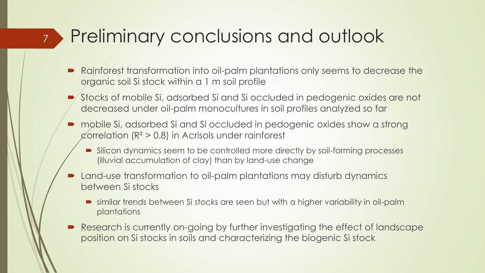## Preliminary conclusions and outlook

7

- Rainforest transformation into oil-palm plantations only seems to decrease the organic soil Si stock within a 1 m soil profile
- Stocks of mobile Si, adsorbed Si and Si occluded in pedogenic oxides are not decreased under oil-palm monocultures in soil profiles analyzed so far
- mobile Si, adsorbed Si and Si occluded in pedogenic oxides show a strong  $\varphi$ orrelation (R<sup>2</sup> > 0.8) in Acrisols under rainforest
	- Silicon dynamics seem to be controlled more directly by soil-forming processes (illuvial accumulation of clay) than by land-use change
- Land-use transformation to oil-palm plantations may disturb dynamics between Si stocks
	- similar trends between Si stocks are seen but with a higher variability in oil-palm plantations
- Research is currently on-going by further investigating the effect of landscape position on Si stocks in soils and characterizing the biogenic Si stock